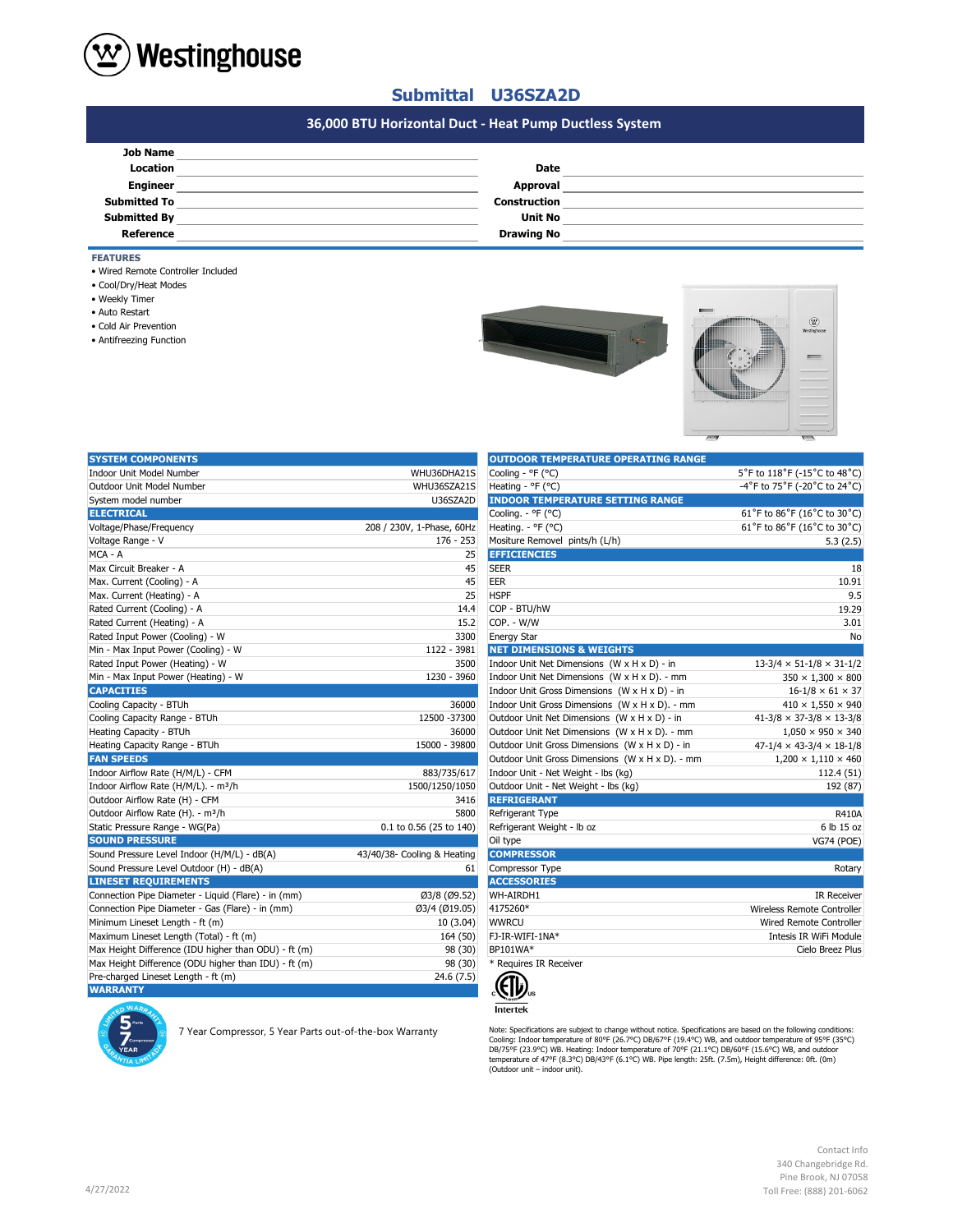

## **Submittal U36SZA2D**

# **#N/A 36,000 BTU Horizontal Duct - Heat Pump Ductless System**

| <b>Job Name</b>     |                     |  |
|---------------------|---------------------|--|
| Location            | Date                |  |
| <b>Engineer</b>     | Approval            |  |
| <b>Submitted To</b> | <b>Construction</b> |  |
| <b>Submitted By</b> | <b>Unit No</b>      |  |
| Reference           | <b>Drawing No</b>   |  |

### **FEATURES**

- Wired Remote Controller Included
- Cool/Dry/Heat Modes
- Weekly Timer
- Auto Restart
- Cold Air Prevention
- Antifreezing Function



| <b>SYSTEM COMPONENTS</b>                             |                             | <b>OUTDOOR TEMPERATURE OPERATING RANGE</b>      |                                            |
|------------------------------------------------------|-----------------------------|-------------------------------------------------|--------------------------------------------|
| Indoor Unit Model Number                             | WHU36DHA21S                 | Cooling - °F (°C)                               | 5°F to 118°F (-15°C to 48°C)               |
| Outdoor Unit Model Number                            | WHU36SZA21S                 | Heating - °F (°C)                               | -4°F to 75°F (-20°C to 24°C)               |
| System model number                                  | U36SZA2D                    | <b>INDOOR TEMPERATURE SETTING RANGE</b>         |                                            |
| <b>ELECTRICAL</b>                                    |                             | Cooling. - °F (°C)                              | 61°F to 86°F (16°C to 30°C)                |
| Voltage/Phase/Frequency                              | 208 / 230V, 1-Phase, 60Hz   | Heating. - °F (°C)                              | 61°F to 86°F (16°C to 30°C)                |
| Voltage Range - V                                    | $176 - 253$                 | Mositure Removel pints/h (L/h)                  | 5.3(2.5)                                   |
| MCA - A                                              | 25                          | <b>EFFICIENCIES</b>                             |                                            |
| Max Circuit Breaker - A                              | 45                          | <b>SEER</b>                                     | 18                                         |
| Max. Current (Cooling) - A                           | 45                          | <b>EER</b>                                      | 10.91                                      |
| Max. Current (Heating) - A                           | 25                          | <b>HSPF</b>                                     | 9.5                                        |
| Rated Current (Cooling) - A                          | 14.4                        | COP - BTU/hW                                    | 19.29                                      |
| Rated Current (Heating) - A                          | 15.2                        | COP. - W/W                                      | 3.01                                       |
| Rated Input Power (Cooling) - W                      | 3300                        | <b>Energy Star</b>                              | No                                         |
| Min - Max Input Power (Cooling) - W                  | 1122 - 3981                 | <b>NET DIMENSIONS &amp; WEIGHTS</b>             |                                            |
| Rated Input Power (Heating) - W                      | 3500                        | Indoor Unit Net Dimensions (W x H x D) - in     | $13-3/4 \times 51-1/8 \times 31-1/2$       |
| Min - Max Input Power (Heating) - W                  | 1230 - 3960                 | Indoor Unit Net Dimensions (W x H x D). - mm    | $350 \times 1,300 \times 800$              |
| <b>CAPACITIES</b>                                    |                             | Indoor Unit Gross Dimensions (W x H x D) - in   | $16 - 1/8 \times 61 \times 37$             |
| Cooling Capacity - BTUh                              | 36000                       | Indoor Unit Gross Dimensions (W x H x D). - mm  | $410 \times 1,550 \times 940$              |
| Cooling Capacity Range - BTUh                        | 12500 - 37300               | Outdoor Unit Net Dimensions (W x H x D) - in    | $41 - 3/8 \times 37 - 3/8 \times 13 - 3/8$ |
| Heating Capacity - BTUh                              | 36000                       | Outdoor Unit Net Dimensions (W x H x D). - mm   | $1,050 \times 950 \times 340$              |
| Heating Capacity Range - BTUh                        | 15000 - 39800               | Outdoor Unit Gross Dimensions (W x H x D) - in  | $47-1/4 \times 43-3/4 \times 18-1/8$       |
| <b>FAN SPEEDS</b>                                    |                             | Outdoor Unit Gross Dimensions (W x H x D). - mm | $1,200 \times 1,110 \times 460$            |
| Indoor Airflow Rate (H/M/L) - CFM                    | 883/735/617                 | Indoor Unit - Net Weight - lbs (kg)             | 112.4 (51)                                 |
| Indoor Airflow Rate (H/M/L). - m <sup>3</sup> /h     | 1500/1250/1050              | Outdoor Unit - Net Weight - Ibs (kg)            | 192 (87)                                   |
| Outdoor Airflow Rate (H) - CFM                       | 3416                        | <b>REFRIGERANT</b>                              |                                            |
| Outdoor Airflow Rate (H). - m <sup>3</sup> /h        | 5800                        | Refrigerant Type                                | R410A                                      |
| Static Pressure Range - WG(Pa)                       | 0.1 to 0.56 (25 to 140)     | Refrigerant Weight - Ib oz                      | 6 lb 15 oz                                 |
| <b>SOUND PRESSURE</b>                                |                             | Oil type                                        | <b>VG74 (POE)</b>                          |
| Sound Pressure Level Indoor (H/M/L) - dB(A)          | 43/40/38- Cooling & Heating | <b>COMPRESSOR</b>                               |                                            |
| Sound Pressure Level Outdoor (H) - dB(A)             | 61                          | Compressor Type                                 | Rotary                                     |
| <b>LINESET REQUIREMENTS</b>                          |                             | <b>ACCESSORIES</b>                              |                                            |
| Connection Pipe Diameter - Liquid (Flare) - in (mm)  | Ø3/8 (Ø9.52)                | WH-AIRDH1                                       | <b>IR Receiver</b>                         |
| Connection Pipe Diameter - Gas (Flare) - in (mm)     | Ø3/4 (Ø19.05)               | 4175260*                                        | Wireless Remote Controller                 |
| Minimum Lineset Length - ft (m)                      | 10 (3.04)                   | <b>WWRCU</b>                                    | <b>Wired Remote Controller</b>             |
| Maximum Lineset Length (Total) - ft (m)              | 164 (50)                    | FJ-IR-WIFI-1NA*                                 | Intesis IR WiFi Module                     |
| Max Height Difference (IDU higher than ODU) - ft (m) | 98 (30)                     | BP101WA*                                        | Cielo Breez Plus                           |
| Max Height Difference (ODU higher than IDU) - ft (m) | 98 (30)                     | * Requires IR Receiver                          |                                            |
| Pre-charged Lineset Length - ft (m)                  | 24.6(7.5)                   |                                                 |                                            |
| <b>WARRANTY</b>                                      |                             | $\epsilon$ (FI)                                 |                                            |

7 Year Compressor, 5 Year Parts out-of-the-box Warranty

| Cooling - °F (°C)                               | 5°F to 118°F (-15°C to 48°C)               |
|-------------------------------------------------|--------------------------------------------|
| Heating - °F (°C)                               | -4°F to 75°F (-20°C to 24°C)               |
| <b>INDOOR TEMPERATURE SETTING RANGE</b>         |                                            |
| Cooling. - °F (°C)                              | 61°F to 86°F (16°C to 30°C)                |
| Heating. - °F (°C)                              | 61°F to 86°F (16°C to 30°C)                |
| Mositure Removel pints/h (L/h)                  | 5.3(2.5)                                   |
| <b>EFFICIENCIES</b>                             |                                            |
| SEER                                            | 18                                         |
| EER                                             | 10.91                                      |
| <b>HSPF</b>                                     | 9.5                                        |
| COP - BTU/hW                                    | 19.29                                      |
| COP. - W/W                                      | 3.01                                       |
| <b>Energy Star</b>                              | No                                         |
| <b>NET DIMENSIONS &amp; WEIGHTS</b>             |                                            |
| Indoor Unit Net Dimensions (W x H x D) - in     | $13-3/4 \times 51-1/8 \times 31-1/2$       |
| Indoor Unit Net Dimensions (W x H x D). - mm    | $350 \times 1,300 \times 800$              |
| Indoor Unit Gross Dimensions (W x H x D) - in   | $16 - 1/8 \times 61 \times 37$             |
| Indoor Unit Gross Dimensions (W x H x D). - mm  | $410 \times 1,550 \times 940$              |
| Outdoor Unit Net Dimensions (W x H x D) - in    | $41 - 3/8 \times 37 - 3/8 \times 13 - 3/8$ |
| Outdoor Unit Net Dimensions (W x H x D). - mm   | $1.050 \times 950 \times 340$              |
| Outdoor Unit Gross Dimensions (W x H x D) - in  | $47-1/4 \times 43-3/4 \times 18-1/8$       |
| Outdoor Unit Gross Dimensions (W x H x D). - mm | $1,200 \times 1,110 \times 460$            |
| Indoor Unit - Net Weight - lbs (kg)             | 112.4 (51)                                 |
| Outdoor Unit - Net Weight - lbs (kg)            | 192 (87)                                   |
| <b>REFRIGERANT</b>                              |                                            |
| Refrigerant Type                                | <b>R410A</b>                               |
| Refrigerant Weight - Ib oz                      | 6 lb 15 oz                                 |
| Oil type                                        | <b>VG74 (POE)</b>                          |
| <b>COMPRESSOR</b>                               |                                            |
| Compressor Type                                 | Rotary                                     |
| <b>ACCESSORIES</b>                              |                                            |
| WH-AIRDH1                                       | <b>IR Receiver</b>                         |
| 4175260*                                        | Wireless Remote Controller                 |
| wwrcu                                           | Wired Remote Controller                    |
| FJ-IR-WIFI-1NA*                                 | Intesis IR WiFi Module                     |
| BP101WA*                                        | Cielo Breez Plus                           |
| * Requires IR Receiver                          |                                            |



Note: Specifications are subjext to change without notice. Specifications are based on the following conditions:<br>Cooling: Indoor temperature of 80°F (26.7°C) DB/67°F (19.4°C) WB, and outdoor temperature of 95°F (35°C)<br>DB/7

Contact Info 340 Changebridge Rd. Pine Brook, NJ 07058 Toll Free: (888) 201-6062